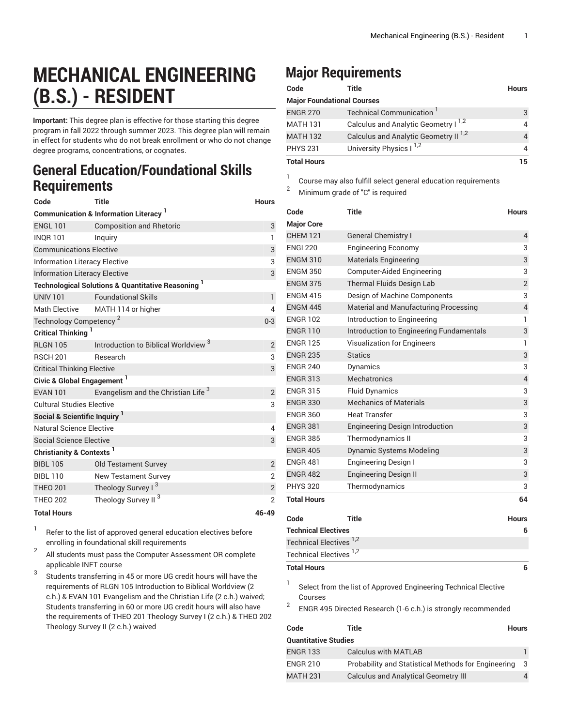## **MECHANICAL ENGINEERING (B.S.) - RESIDENT**

**Important:** This degree plan is effective for those starting this degree program in fall 2022 through summer 2023. This degree plan will remain in effect for students who do not break enrollment or who do not change degree programs, concentrations, or cognates.

## **General Education/Foundational Skills Requirements**

| Code                                            | <b>Title</b>                                                  | <b>Hours</b>   |  |  |
|-------------------------------------------------|---------------------------------------------------------------|----------------|--|--|
| <b>Communication &amp; Information Literacy</b> |                                                               |                |  |  |
| <b>ENGL 101</b>                                 | <b>Composition and Rhetoric</b>                               | 3              |  |  |
| <b>INOR 101</b>                                 | Inquiry                                                       | $\mathbf{1}$   |  |  |
| <b>Communications Elective</b>                  | 3                                                             |                |  |  |
| <b>Information Literacy Elective</b>            | 3                                                             |                |  |  |
| <b>Information Literacy Elective</b>            | 3                                                             |                |  |  |
|                                                 | <b>Technological Solutions &amp; Quantitative Reasoning</b> 1 |                |  |  |
| <b>UNIV 101</b>                                 | <b>Foundational Skills</b>                                    | $\mathbf{1}$   |  |  |
| <b>Math Elective</b>                            | MATH 114 or higher                                            | 4              |  |  |
| Technology Competency <sup>2</sup>              | $0 - 3$                                                       |                |  |  |
| Critical Thinking <sup>1</sup>                  |                                                               |                |  |  |
| <b>RLGN 105</b>                                 | Introduction to Biblical Worldview <sup>3</sup>               | $\overline{2}$ |  |  |
| <b>RSCH 201</b>                                 | Research                                                      | 3              |  |  |
| <b>Critical Thinking Elective</b>               | 3                                                             |                |  |  |
| Civic & Global Engagement <sup>1</sup>          |                                                               |                |  |  |
| <b>EVAN 101</b>                                 | Evangelism and the Christian Life <sup>3</sup>                | 2              |  |  |
| <b>Cultural Studies Elective</b>                | 3                                                             |                |  |  |
| Social & Scientific Inquiry <sup>1</sup>        |                                                               |                |  |  |
| Natural Science Elective                        | 4                                                             |                |  |  |
| <b>Social Science Elective</b>                  |                                                               | 3              |  |  |
| Christianity & Contexts <sup>1</sup>            |                                                               |                |  |  |
| <b>BIBL 105</b>                                 | <b>Old Testament Survey</b>                                   | $\overline{2}$ |  |  |
| <b>BIBL 110</b>                                 | <b>New Testament Survey</b>                                   | 2              |  |  |
| <b>THEO 201</b>                                 | Theology Survey I <sup>3</sup>                                | $\overline{c}$ |  |  |
| <b>THEO 202</b>                                 | Theology Survey II <sup>3</sup>                               | $\overline{2}$ |  |  |
| <b>Total Hours</b>                              |                                                               | 46-49          |  |  |

1 Refer to the list of approved general [education](https://www.liberty.edu/gened/) electives before enrolling in foundational skill requirements

2 All students must pass the [Computer Assessment](https://www.liberty.edu/computerassessment/) OR complete applicable INFT course

3 Students transferring in 45 or more UG credit hours will have the requirements of RLGN 105 Introduction to Biblical Worldview (2 c.h.) & EVAN 101 Evangelism and the Christian Life (2 c.h.) waived; Students transferring in 60 or more UG credit hours will also have the requirements of THEO 201 Theology Survey I (2 c.h.) & THEO 202 Theology Survey II (2 c.h.) waived

## **Major Requirements**

| Code               | Title                                            | <b>Hours</b> |
|--------------------|--------------------------------------------------|--------------|
|                    | <b>Major Foundational Courses</b>                |              |
| <b>ENGR 270</b>    | Technical Communication <sup>1</sup>             | 3            |
| <b>MATH 131</b>    | Calculus and Analytic Geometry I <sup>1,2</sup>  | 4            |
| <b>MATH 132</b>    | Calculus and Analytic Geometry II <sup>1,2</sup> |              |
| <b>PHYS 231</b>    | University Physics I <sup>1,2</sup>              | 4            |
| <b>Total Houre</b> |                                                  |              |

**Total Hours 15**

1 Course may also fulfill select general education [requirements](http://www.liberty.edu/academics/generalstudies/?PID=37563)

<sup>2</sup> Minimum grade of "C" is required

| Code                                                                            | Title                                                           | Hours          |  |  |
|---------------------------------------------------------------------------------|-----------------------------------------------------------------|----------------|--|--|
| <b>Major Core</b>                                                               |                                                                 |                |  |  |
| <b>CHEM 121</b>                                                                 | <b>General Chemistry I</b>                                      | 4              |  |  |
| <b>ENGI 220</b>                                                                 | <b>Engineering Economy</b>                                      | 3              |  |  |
| <b>ENGM 310</b>                                                                 | <b>Materials Engineering</b>                                    | 3              |  |  |
| <b>ENGM 350</b>                                                                 | Computer-Aided Engineering                                      | 3              |  |  |
| <b>ENGM 375</b>                                                                 | Thermal Fluids Design Lab                                       | $\overline{2}$ |  |  |
| <b>ENGM 415</b>                                                                 | Design of Machine Components                                    | 3              |  |  |
| <b>ENGM 445</b>                                                                 | Material and Manufacturing Processing                           | $\overline{4}$ |  |  |
| <b>ENGR 102</b>                                                                 | Introduction to Engineering                                     | 1              |  |  |
| <b>ENGR 110</b>                                                                 | Introduction to Engineering Fundamentals                        | 3              |  |  |
| <b>ENGR 125</b>                                                                 | Visualization for Engineers                                     | 1              |  |  |
| <b>ENGR 235</b>                                                                 | <b>Statics</b>                                                  | 3              |  |  |
| <b>ENGR 240</b>                                                                 | Dynamics                                                        | 3              |  |  |
| <b>ENGR 313</b>                                                                 | <b>Mechatronics</b>                                             | 4              |  |  |
| <b>ENGR 315</b>                                                                 | <b>Fluid Dynamics</b>                                           | 3              |  |  |
| <b>ENGR 330</b>                                                                 | <b>Mechanics of Materials</b>                                   | 3              |  |  |
| <b>ENGR 360</b>                                                                 | <b>Heat Transfer</b>                                            | 3              |  |  |
| <b>ENGR 381</b>                                                                 | <b>Engineering Design Introduction</b>                          | 3              |  |  |
| <b>ENGR 385</b>                                                                 | <b>Thermodynamics II</b>                                        | 3              |  |  |
| <b>ENGR 405</b>                                                                 | <b>Dynamic Systems Modeling</b>                                 | 3              |  |  |
| <b>ENGR 481</b>                                                                 | <b>Engineering Design I</b>                                     | 3              |  |  |
| <b>ENGR 482</b>                                                                 | <b>Engineering Design II</b>                                    | 3              |  |  |
| <b>PHYS 320</b>                                                                 | Thermodynamics                                                  | 3              |  |  |
| <b>Total Hours</b>                                                              |                                                                 | 64             |  |  |
| Code                                                                            | Title                                                           | <b>Hours</b>   |  |  |
| <b>Technical Electives</b>                                                      |                                                                 | 6              |  |  |
| <b>Technical Electives</b>                                                      | 1,2                                                             |                |  |  |
| <b>Technical Electives</b>                                                      | 1,2                                                             |                |  |  |
| <b>Total Hours</b>                                                              |                                                                 | 6              |  |  |
|                                                                                 |                                                                 |                |  |  |
| 1<br>Courses                                                                    | Select from the list of Approved Engineering Technical Elective |                |  |  |
| $\overline{c}$<br>ENGR 495 Directed Research (1-6 c.h.) is strongly recommended |                                                                 |                |  |  |
| Code                                                                            | Title                                                           | Hours          |  |  |
| <b>Quantitative Studies</b>                                                     |                                                                 |                |  |  |
| <b>ENGR 133</b>                                                                 | <b>Calculus with MATLAB</b>                                     | 1              |  |  |

ENGR 210 Probability and Statistical Methods for Engineering 3 MATH 231 Calculus and Analytical Geometry III 4